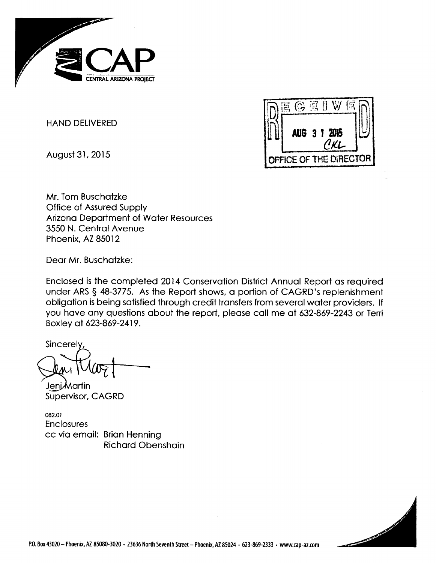

**HAND** DELIVERED

August **31, 2015**



Mr. Tom Buschatzke Office of Assured Supply Arizona Department of Water Resources **3550 N.** Central Avenue Phoenix, AZ **85012**

Dear Mr. Buschatzke:

Enclosed is the completed 2014 Conservation District Annual Report as required under ARS **§ 48-3775.** As the Report shows, a portion of CAGRD's replenishment obligation is being satisfied through credit transfers from several water providers. **If** you have any questions about the report, please call me at **632-869-2243** or Terni Boxley at **623-869-2419.**

Sincerely

**Jeni Martin** Supervisor, CAGRD

**082.01** Enclosures cc via email: Brian Henning Richard Obenshain

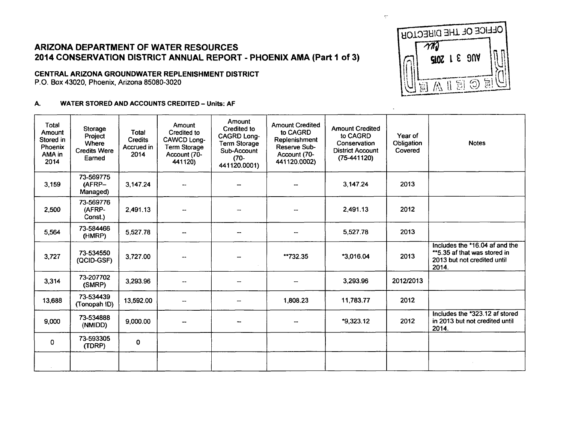# ARIZONA DEPARTMENT OF WATER **RESOURCES** 2014 **CONSERVATION** DISTRICT **ANNUAL** REPORT **- PHOENIX AMA** (Part **I** of **3)**

## **CENTRAL** ARIZONA GROUNDWATER **REPLENISHMENT** DISTRICT

P.O. Box 43020, Phoenix, Arizona **85080-3020**

### **A.** WATER STORED **AND ACCOUNTS** CREDITED **-** Units: **AF**



 $\frac{1}{2} \frac{1}{2}$ 

 $\overline{a}$ 

| <b>Total</b><br>Amount<br>Stored in<br>Phoenix<br>AMA in<br>2014 | Storage<br>Project<br><b>Where</b><br><b>Credits Were</b><br>Earned | Total<br>Credits<br>Accrued in<br>2014 | Amount<br>Credited to<br>CAWCD Long-<br><b>Term Storage</b><br>Account (70-<br>441120) | <b>Amount</b><br>Credited to<br><b>CAGRD Long-</b><br><b>Term Storage</b><br>Sub-Account<br>$(70 -$<br>441120.0001) | <b>Amount Credited</b><br>to CAGRD<br>Replenishment<br>Reserve Sub-<br>Account (70-<br>441120.0002) | <b>Amount Credited</b><br>to CAGRD<br>Conservation<br><b>District Account</b><br>$(75-441120)$ | Year of<br>Obligation<br>Covered | <b>Notes</b>                                                                                           |
|------------------------------------------------------------------|---------------------------------------------------------------------|----------------------------------------|----------------------------------------------------------------------------------------|---------------------------------------------------------------------------------------------------------------------|-----------------------------------------------------------------------------------------------------|------------------------------------------------------------------------------------------------|----------------------------------|--------------------------------------------------------------------------------------------------------|
| 3,159                                                            | 73-569775<br>(AFRP-<br>Managed)                                     | 3,147.24                               |                                                                                        |                                                                                                                     |                                                                                                     | 3,147.24                                                                                       | 2013                             |                                                                                                        |
| 2,500                                                            | 73-569776<br>(AFRP-<br>Const.)                                      | 2,491.13                               |                                                                                        |                                                                                                                     |                                                                                                     | 2,491.13                                                                                       | 2012                             |                                                                                                        |
| 5,564                                                            | 73-584466<br>(HMRP)                                                 | 5,527.78                               |                                                                                        | $\overline{\phantom{a}}$                                                                                            |                                                                                                     | 5.527.78                                                                                       | 2013                             |                                                                                                        |
| 3,727                                                            | 73-534550<br>(QCID-GSF)                                             | 3,727.00                               | --                                                                                     |                                                                                                                     | **732.35                                                                                            | *3,016.04                                                                                      | 2013                             | Includes the *16.04 af and the<br>**5.35 af that was stored in<br>2013 but not credited until<br>2014. |
| 3,314                                                            | 73-207702<br>(SMRP)                                                 | 3,293.96                               | --                                                                                     |                                                                                                                     |                                                                                                     | 3,293.96                                                                                       | 2012/2013                        |                                                                                                        |
| 13,688                                                           | 73-534439<br>(Tonopah ID)                                           | 13,592.00                              |                                                                                        |                                                                                                                     | 1,808.23                                                                                            | 11,783.77                                                                                      | 2012                             |                                                                                                        |
| 9,000                                                            | 73-534888<br>(NMIDD)                                                | 9,000.00                               |                                                                                        |                                                                                                                     |                                                                                                     | $*9,323.12$                                                                                    | 2012                             | Includes the *323.12 af stored<br>in 2013 but not credited until<br>2014.                              |
| 0                                                                | 73-593305<br>(TDRP)                                                 | 0                                      |                                                                                        |                                                                                                                     |                                                                                                     |                                                                                                |                                  |                                                                                                        |
|                                                                  |                                                                     |                                        |                                                                                        |                                                                                                                     |                                                                                                     |                                                                                                |                                  |                                                                                                        |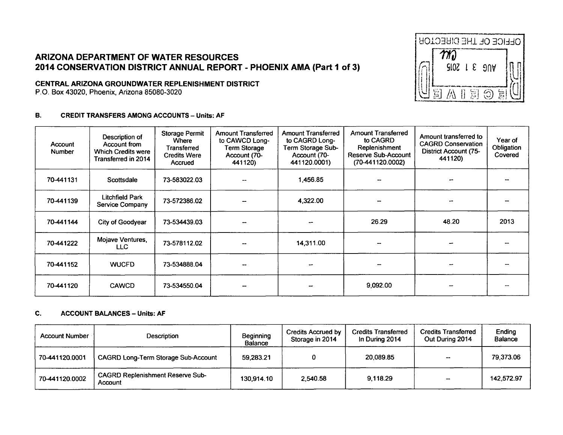## **ARIZONA DEPARTMENT OF WATER RESOURCES** 2014 CONSERVATION DISTRICT ANNUAL REPORT - PHOENIX AMA (Part 1 of 3)

## CENTRAL ARIZONA GROUNDWATER REPLENISHMENT DISTRICT

P.O. Box 43020, Phoenix, Arizona 85080-3020

#### **B. CREDIT TRANSFERS AMONG ACCOUNTS - Units: AF**

| Account<br><b>Number</b> | Description of<br>Account from<br><b>Which Credits were</b><br>Transferred in 2014 | <b>Storage Permit</b><br><b>Where</b><br>Transferred<br><b>Credits Were</b><br>Accrued | <b>Amount Transferred</b><br>to CAWCD Long-<br>Term Storage<br>Account (70-<br>441120) | <b>Amount Transferred</b><br>to CAGRD Long-<br>Term Storage Sub-<br>Account (70-<br>441120.0001) | <b>Amount Transferred</b><br>to CAGRD<br>Replenishment<br>Reserve Sub-Account<br>(70-441120.0002) | Amount transferred to<br><b>CAGRD Conservation</b><br>District Account (75-<br>441120) | Year of<br>Obligation<br>Covered |
|--------------------------|------------------------------------------------------------------------------------|----------------------------------------------------------------------------------------|----------------------------------------------------------------------------------------|--------------------------------------------------------------------------------------------------|---------------------------------------------------------------------------------------------------|----------------------------------------------------------------------------------------|----------------------------------|
| 70-441131                | Scottsdale                                                                         | 73-583022.03                                                                           |                                                                                        | 1,456.85                                                                                         |                                                                                                   |                                                                                        |                                  |
| 70-441139                | <b>Litchfield Park</b><br><b>Service Company</b>                                   | 73-572386.02                                                                           |                                                                                        | 4,322.00                                                                                         |                                                                                                   |                                                                                        |                                  |
| 70-441144                | City of Goodyear                                                                   | 73-534439.03                                                                           |                                                                                        |                                                                                                  | 26.29                                                                                             | 48.20                                                                                  | 2013                             |
| 70-441222                | Mojave Ventures,<br>LLC.                                                           | 73-578112.02                                                                           |                                                                                        | 14,311.00                                                                                        |                                                                                                   |                                                                                        |                                  |
| 70-441152                | <b>WUCFD</b>                                                                       | 73-534888.04                                                                           |                                                                                        |                                                                                                  |                                                                                                   |                                                                                        |                                  |
| 70-441120                | <b>CAWCD</b>                                                                       | 73-534550.04                                                                           |                                                                                        |                                                                                                  | 9,092.00                                                                                          |                                                                                        |                                  |

#### $C_{1}$ **ACCOUNT BALANCES - Units: AF**

| <b>Account Number</b> | Description                                        | Beginning<br><b>Balance</b> | Credits Accrued by<br>Storage in 2014 | <b>Credits Transferred</b><br>In During 2014 | <b>Credits Transferred</b><br>Out During 2014 | Ending<br>Balance |
|-----------------------|----------------------------------------------------|-----------------------------|---------------------------------------|----------------------------------------------|-----------------------------------------------|-------------------|
| 70-441120.0001        | <b>CAGRD Long-Term Storage Sub-Account</b>         | 59.283.21                   |                                       | 20.089.85                                    |                                               | 79.373.06         |
| 70-441120.0002        | <b>CAGRD Replenishment Reserve Sub-</b><br>Account | 130.914.10                  | 2.540.58                              | 9.118.29                                     |                                               | 142.572.97        |

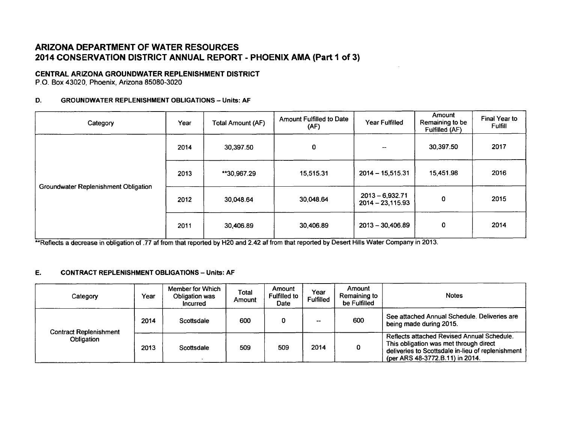# **ARIZONA DEPARTMENT OF WATER RESOURCES 2014 CONSERVATION DISTRICT ANNUAL REPORT - PHOENIX AMA (Part I of 3)**

## **CENTRAL ARIZONA GROUNDWATER REPLENISHMENT DISTRICT**

P.O. Box 43020, Phoenix, Arizona **85080-3020**

#### **D.** GROUNDWATER **REPLENISHMENT OBLIGATIONS -** Units: **AF**

| Category                             | Year                | <b>Total Amount (AF)</b> | <b>Amount Fulfilled to Date</b><br>(AF) | Year Fulfilled                          | Amount<br>Remaining to be<br>Fulfilled (AF) | Final Year to<br><b>Fulfill</b> |
|--------------------------------------|---------------------|--------------------------|-----------------------------------------|-----------------------------------------|---------------------------------------------|---------------------------------|
|                                      | 2014                | 30,397.50                | $\pmb{0}$                               | --                                      | 30,397.50                                   | 2017                            |
|                                      | 2013<br>**30,967.29 |                          | 15,515.31                               | $2014 - 15,515.31$                      | 15,451.98                                   | 2016                            |
| Groundwater Replenishment Obligation | 2012                | 30,048.64                | 30,048.64                               | $2013 - 6,932.71$<br>$2014 - 23,115.93$ | $\mathbf 0$                                 | 2015                            |
|                                      | 2011                | 30,406.89                | 30,406.89                               | $2013 - 30,406.89$                      | 0                                           | 2014                            |

\_Reflects a decrease in obligation of **.77** af from that reported **by** H20 and 2.42 af f~rm that reported **by** Desert Hills Water Company'in **2013.**

#### **E. CONTRACT REPLENISHMENT OBLIGATIONS -** Units: **AF**

| Category                                    | Year | Member for Which<br>Obligation was<br><b>Incurred</b> | Total<br>Amount | Amount<br><b>Fulfilled to</b><br>Date | Year<br><b>Fulfilled</b> | Amount<br>Remaining to<br>be Fulfilled | <b>Notes</b>                                                                                                                                                                 |
|---------------------------------------------|------|-------------------------------------------------------|-----------------|---------------------------------------|--------------------------|----------------------------------------|------------------------------------------------------------------------------------------------------------------------------------------------------------------------------|
| <b>Contract Replenishment</b><br>Obligation | 2014 | Scottsdale                                            | 600             |                                       | $- -$                    | 600                                    | See attached Annual Schedule, Deliveries are<br>being made during 2015.                                                                                                      |
|                                             | 2013 | Scottsdale                                            | 509             | 509                                   | 2014                     | 0                                      | Reflects attached Revised Annual Schedule.<br>This obligation was met through direct<br>deliveries to Scottsdale in-lieu of replenishment<br>(per ARS 48-3772.B.11) in 2014. |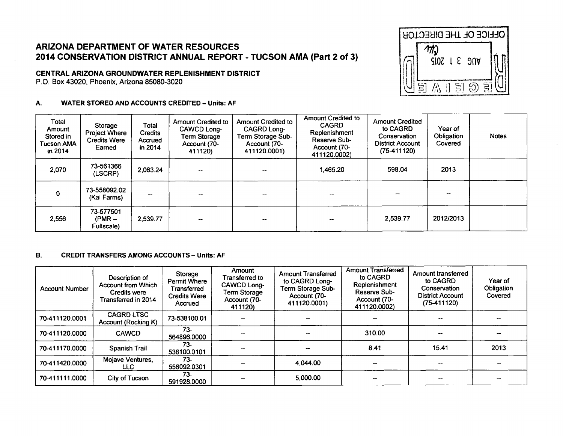# ARIZONA DEPARTMENT OF WATER RESOURCES 2014 CONSERVATION DISTRICT ANNUAL REPORT - TUCSON AMA (Part 2 of 3)

## CENTRAL ARIZONA GROUNDWATER REPLENISHMENT DISTRICT

P.O. Box 43020, Phoenix, Arizona 85080-3020

#### A. **WATER STORED AND ACCOUNTS CREDITED - Units: AF**



| Total<br>Amount<br>Stored in<br><b>Tucson AMA</b><br>in 2014 | Storage<br><b>Project Where</b><br><b>Credits Were</b><br>Earned | Total<br><b>Credits</b><br>Accrued<br>in 2014 | Amount Credited to<br>CAWCD Long-<br><b>Term Storage</b><br>Account (70-<br>411120) | Amount Credited to<br><b>CAGRD Long-</b><br>Term Storage Sub-<br>Account (70-<br>411120.0001) | <b>Amount Credited to</b><br><b>CAGRD</b><br>Replenishment<br>Reserve Sub-<br>Account (70-<br>411120.0002) | <b>Amount Credited</b><br>to CAGRD<br>Conservation<br><b>District Account</b><br>$(75-411120)$ | Year of<br>Obligation<br>Covered | <b>Notes</b> |
|--------------------------------------------------------------|------------------------------------------------------------------|-----------------------------------------------|-------------------------------------------------------------------------------------|-----------------------------------------------------------------------------------------------|------------------------------------------------------------------------------------------------------------|------------------------------------------------------------------------------------------------|----------------------------------|--------------|
| 2,070                                                        | 73-561366<br>(LSCRP)                                             | 2,063.24                                      |                                                                                     |                                                                                               | 1,465.20                                                                                                   | 598.04                                                                                         | 2013                             |              |
| $\Omega$                                                     | 73-558092.02<br>(Kai Farms)                                      |                                               |                                                                                     |                                                                                               |                                                                                                            |                                                                                                |                                  |              |
| 2,556                                                        | 73-577501<br>$(PMR -$<br>Fullscale)                              | 2,539.77                                      | --                                                                                  |                                                                                               |                                                                                                            | 2,539.77                                                                                       | 2012/2013                        |              |

#### **B. CREDIT TRANSFERS AMONG ACCOUNTS - Units: AF**

| <b>Account Number</b> | Description of<br><b>Account from Which</b><br><b>Credits were</b><br>Transferred in 2014 | Storage<br><b>Permit Where</b><br>Transferred<br><b>Credits Were</b><br>Accrued | Amount<br>Transferred to<br><b>CAWCD Long-</b><br>Term Storage<br>Account (70-<br>411120) | <b>Amount Transferred</b><br>to CAGRD Long-<br>Term Storage Sub-<br>Account (70-<br>411120.0001) | <b>Amount Transferred</b><br>to CAGRD<br>Replenishment<br>Reserve Sub-<br>Account (70-<br>411120.0002) | Amount transferred<br>to CAGRD<br>Conservation<br><b>District Account</b><br>$(75-411120)$ | Year of<br>Obligation<br>Covered |
|-----------------------|-------------------------------------------------------------------------------------------|---------------------------------------------------------------------------------|-------------------------------------------------------------------------------------------|--------------------------------------------------------------------------------------------------|--------------------------------------------------------------------------------------------------------|--------------------------------------------------------------------------------------------|----------------------------------|
| 70-411120.0001        | <b>CAGRD LTSC</b><br>Account (Rocking K)                                                  | 73-538100.01                                                                    |                                                                                           |                                                                                                  |                                                                                                        |                                                                                            |                                  |
| 70-411120.0000        | <b>CAWCD</b>                                                                              | $73-$<br>564896.0000                                                            |                                                                                           |                                                                                                  | 310.00                                                                                                 |                                                                                            |                                  |
| 70-411170.0000        | Spanish Trail                                                                             | 73-<br>538100.0101                                                              |                                                                                           |                                                                                                  | 8.41                                                                                                   | 15.41                                                                                      | 2013                             |
| 70-411420.0000        | Mojave Ventures,<br>LLC.                                                                  | 73-<br>558092.0301                                                              |                                                                                           | 4.044.00                                                                                         |                                                                                                        |                                                                                            |                                  |
| 70-411111.0000        | City of Tucson                                                                            | $73-$<br>591928.0000                                                            |                                                                                           | 5,000.00                                                                                         |                                                                                                        |                                                                                            |                                  |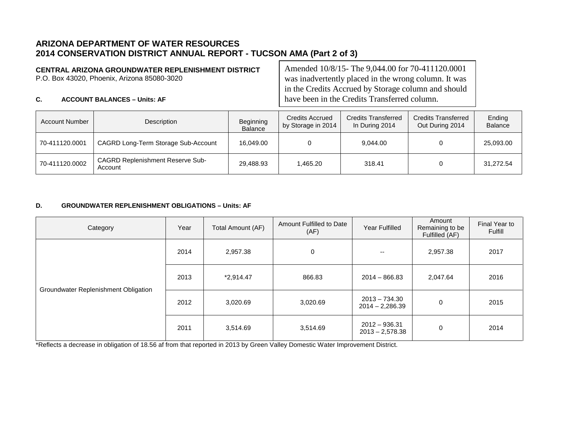# **ARIZONA DEPARTMENT OF WATER RESOURCES 2014 CONSERVATION DISTRICT ANNUAL REPORT - TUCSON AMA (Part 2 of 3)**

## **CENTRAL ARIZONA GROUNDWATER REPLENISHMENT DISTRICT**

P.O. Box 43020, Phoenix, Arizona 85080-3020

Amended 10/8/15- The 9,044.00 for 70-411120.0001 was inadvertently placed in the wrong column. It was in the Credits Accrued by Storage column and should have been in the Credits Transferred column.

### **C. ACCOUNT BALANCES – Units: AF**

| Account Number | Description                                        | Beginning<br><b>Balance</b> | <b>Credits Accrued</b><br>by Storage in 2014 | <b>Credits Transferred</b><br>In During 2014 | <b>Credits Transferred</b><br>Out During 2014 | Ending<br><b>Balance</b> |
|----------------|----------------------------------------------------|-----------------------------|----------------------------------------------|----------------------------------------------|-----------------------------------------------|--------------------------|
| 70-411120.0001 | CAGRD Long-Term Storage Sub-Account                | 16,049.00                   |                                              | 9,044.00                                     |                                               | 25,093.00                |
| 70-411120.0002 | <b>CAGRD Replenishment Reserve Sub-</b><br>Account | 29,488.93                   | .465.20 ا                                    | 318.41                                       |                                               | 31,272.54                |

### **D. GROUNDWATER REPLENISHMENT OBLIGATIONS – Units: AF**

| Category                             | Year                | Total Amount (AF) | Amount Fulfilled to Date<br>(AF)                 | <b>Year Fulfilled</b>                | Amount<br>Remaining to be<br>Fulfilled (AF) | Final Year to<br>Fulfill |
|--------------------------------------|---------------------|-------------------|--------------------------------------------------|--------------------------------------|---------------------------------------------|--------------------------|
|                                      | 2014<br>2,957.38    |                   | 0                                                | $- -$                                | 2,957.38                                    | 2017                     |
|                                      | 2013<br>$*2,914.47$ |                   | 866.83                                           | $2014 - 866.83$                      | 2,047.64                                    | 2016                     |
| Groundwater Replenishment Obligation | 2012                | 3,020.69          | $2013 - 734.30$<br>3,020.69<br>$2014 - 2,286.39$ |                                      | 0                                           | 2015                     |
|                                      | 2011                | 3,514.69          | 3,514.69                                         | $2012 - 936.31$<br>$2013 - 2,578.38$ | 0                                           | 2014                     |

\*Reflects a decrease in obligation of 18.56 af from that reported in 2013 by Green Valley Domestic Water Improvement District.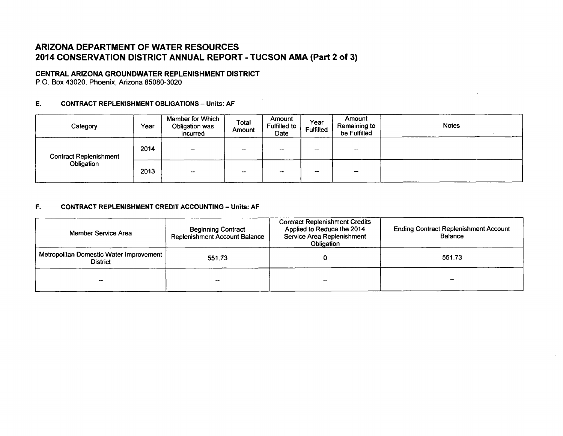# ARIZONA DEPARTMENT OF WATER **RESOURCES** 2014 **CONSERVATION** DISTRICT **ANNUAL** REPORT **- TUCSON AMA** (Part 2 of **3)**

### **CENTRAL ARIZONA GROUNDWATER REPLENISHMENT DISTRICT**

P.O. Box 43020, Phoenix, Arizona **85080-3020**

### **E. CONTRACT REPLENISHMENT OBLIGATIONS -** Units: **AF**

| Category                      | Year | Member for Which<br>Obligation was<br>Incurred | Total<br>Amount | Amount<br><b>Fulfilled to</b><br>Date | Year<br><b>Fulfilled</b> | Amount<br>Remaining to<br>be Fulfilled | <b>Notes</b> |
|-------------------------------|------|------------------------------------------------|-----------------|---------------------------------------|--------------------------|----------------------------------------|--------------|
| <b>Contract Replenishment</b> | 2014 | -                                              | $- -$           | $- -$                                 | --                       | $\overline{\phantom{a}}$               |              |
| Obligation                    | 2013 | $\overline{\phantom{a}}$                       | $-$             | --                                    | --                       |                                        |              |

 $\sim$ 

#### F. **CONTRACT REPLENISHMENT** CREDIT **ACCOUNTING -** Units: **AF**

| Member Service Area                                          | <b>Beginning Contract</b><br><b>Replenishment Account Balance</b> | <b>Contract Replenishment Credits</b><br>Applied to Reduce the 2014<br>Service Area Replenishment<br>Obligation | <b>Ending Contract Replenishment Account</b><br>Balance |  |
|--------------------------------------------------------------|-------------------------------------------------------------------|-----------------------------------------------------------------------------------------------------------------|---------------------------------------------------------|--|
| Metropolitan Domestic Water Improvement  <br><b>District</b> | 551.73                                                            |                                                                                                                 | 551.73                                                  |  |
|                                                              |                                                                   | $-$                                                                                                             |                                                         |  |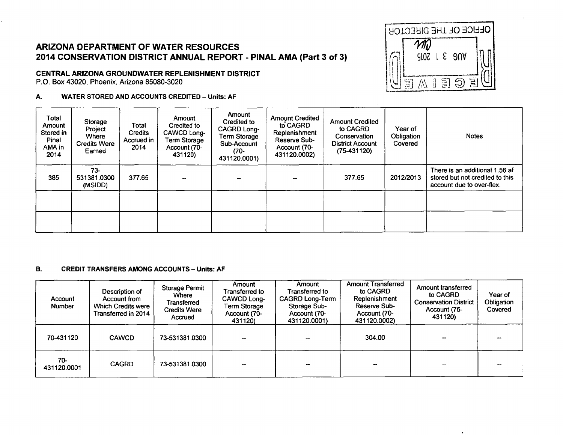# ARIZONA DEPARTMENT OF WATER RESOURCES 2014 CONSERVATION DISTRICT ANNUAL REPORT - PINAL AMA (Part 3 of 3)

## CENTRAL ARIZONA GROUNDWATER REPLENISHMENT DISTRICT

P.O. Box 43020, Phoenix, Arizona 85080-3020

#### **WATER STORED AND ACCOUNTS CREDITED - Units: AF** А.



 $\overline{ }$ 

| Total<br>Amount<br>Stored in<br>Pinal<br>AMA in<br>2014 | Storage<br>Project<br>Where<br><b>Credits Were</b><br>Earned | Total<br><b>Credits</b><br>Accrued in<br>2014 | Amount<br>Credited to<br>CAWCD Long-<br>Term Storage<br>Account (70-<br>431120) | Amount<br>Credited to<br>CAGRD Long-<br><b>Term Storage</b><br>Sub-Account<br>(70-<br>431120.0001) | <b>Amount Credited</b><br>to CAGRD<br>Replenishment<br>Reserve Sub-<br>Account (70-<br>431120.0002) | <b>Amount Credited</b><br>to CAGRD<br>Conservation<br><b>District Account</b><br>$(75-431120)$ | Year of<br>Obligation<br>Covered | <b>Notes</b>                                                                                   |
|---------------------------------------------------------|--------------------------------------------------------------|-----------------------------------------------|---------------------------------------------------------------------------------|----------------------------------------------------------------------------------------------------|-----------------------------------------------------------------------------------------------------|------------------------------------------------------------------------------------------------|----------------------------------|------------------------------------------------------------------------------------------------|
| 385                                                     | $73-$<br>531381.0300<br>(MSIDD)                              | 377.65                                        |                                                                                 |                                                                                                    |                                                                                                     | 377.65                                                                                         | 2012/2013                        | There is an additional 1.56 af<br>stored but not credited to this<br>account due to over-flex. |
|                                                         |                                                              |                                               |                                                                                 |                                                                                                    |                                                                                                     |                                                                                                |                                  |                                                                                                |
|                                                         |                                                              |                                               |                                                                                 |                                                                                                    |                                                                                                     |                                                                                                |                                  |                                                                                                |

#### **B. CREDIT TRANSFERS AMONG ACCOUNTS - Units: AF**

| Account<br><b>Number</b> | Description of<br>Account from<br><b>Which Credits were</b><br>Transferred in 2014 | <b>Storage Permit</b><br>Where<br>Transferred<br><b>Credits Were</b><br>Accrued | Amount<br>Transferred to<br><b>CAWCD Long-</b><br>Term Storage<br>Account (70-<br>431120) | Amount<br>Transferred to<br><b>CAGRD Long-Term</b><br>Storage Sub-<br>Account (70-<br>431120,0001) | <b>Amount Transferred</b><br>to CAGRD<br>Replenishment<br>Reserve Sub-<br>Account (70-<br>431120.0002) | Amount transferred<br>to CAGRD<br><b>Conservation District</b><br>Account (75-<br>431120) | Year of<br>Obligation<br>Covered |
|--------------------------|------------------------------------------------------------------------------------|---------------------------------------------------------------------------------|-------------------------------------------------------------------------------------------|----------------------------------------------------------------------------------------------------|--------------------------------------------------------------------------------------------------------|-------------------------------------------------------------------------------------------|----------------------------------|
| 70-431120                | <b>CAWCD</b>                                                                       | 73-531381.0300                                                                  |                                                                                           |                                                                                                    | 304.00                                                                                                 | --                                                                                        |                                  |
| 70-<br>431120.0001       | <b>CAGRD</b>                                                                       | 73-531381.0300                                                                  |                                                                                           |                                                                                                    |                                                                                                        |                                                                                           |                                  |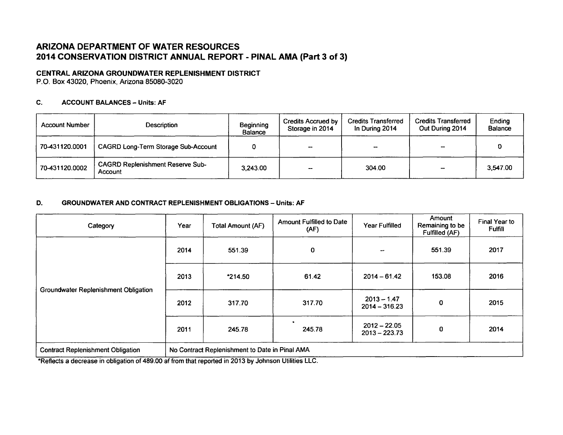# ARIZONA DEPARTMENT OF WATER **RESOURCES** 2014 **CONSERVATION** DISTRICT **ANNUAL** REPORT **- PINAL AMA** (Part **3** of **3)**

## **CENTRAL ARIZONA GROUNDWATER REPLENISHMENT DISTRICT**

**P.O. Box** 43020, Phoenix, Arizona **85080-3020**

### **C. ACCOUNT BALANCES - Units: AF**

| <b>Account Number</b> | Description                                        | Beginning<br><b>Balance</b> | <b>Credits Accrued by</b><br>Storage in 2014 | <b>Credits Transferred</b><br>In During 2014 | <b>Credits Transferred</b><br>Out During 2014 | Ending<br><b>Balance</b> |
|-----------------------|----------------------------------------------------|-----------------------------|----------------------------------------------|----------------------------------------------|-----------------------------------------------|--------------------------|
| 70-431120.0001        | <b>CAGRD Long-Term Storage Sub-Account</b>         |                             | --                                           |                                              |                                               |                          |
| 70-431120.0002        | <b>CAGRD Replenishment Reserve Sub-</b><br>Account | 3,243.00                    |                                              | 304.00                                       |                                               | 3,547.00                 |

### **D.** GROUNDWATER **AND CONTRACT REPLENISHMENT OBLIGATIONS -** Units: **AF**

| Category                                    | Year                                           | <b>Total Amount (AF)</b> | <b>Amount Fulfilled to Date</b><br>(AF) | Year Fulfilled                    | Amount<br>Remaining to be<br><b>Fulfilled (AF)</b> | Final Year to<br><b>Fulfill</b> |
|---------------------------------------------|------------------------------------------------|--------------------------|-----------------------------------------|-----------------------------------|----------------------------------------------------|---------------------------------|
|                                             | 2014                                           | 551.39                   | $\mathbf 0$                             |                                   | 551.39                                             | 2017                            |
|                                             | 2013                                           | $*214.50$                | 61.42                                   | $2014 - 61.42$                    | 153.08                                             | 2016                            |
| <b>Groundwater Replenishment Obligation</b> | 2012                                           | 317.70                   | 317.70                                  | $2013 - 1.47$<br>$2014 - 316.23$  | 0                                                  | 2015                            |
|                                             | 2011                                           | 245.78                   | 245.78                                  | $2012 - 22.05$<br>$2013 - 223.73$ | 0                                                  | 2014                            |
| <b>Contract Replenishment Obligation</b>    | No Contract Replenishment to Date in Pinal AMA |                          |                                         |                                   |                                                    |                                 |

\*Reflects a decrease in obligation of 489.00 af from that reported in **2013 by** Johnson Utilities **LLC.**